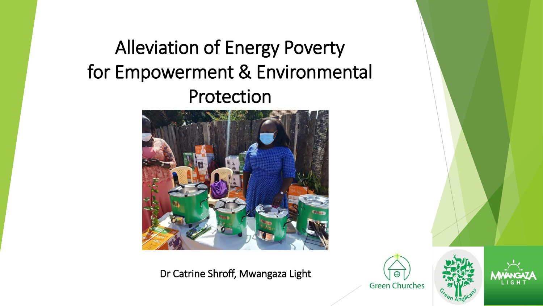# Alleviation of Energy Poverty for Empowerment & Environmental Protection



Dr Catrine Shroff, Mwangaza Light





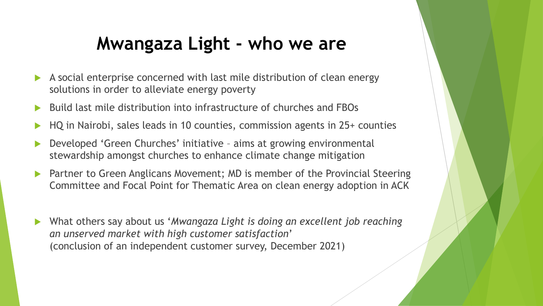## **Mwangaza Light - who we are**

- A social enterprise concerned with last mile distribution of clean energy solutions in order to alleviate energy poverty
- Build last mile distribution into infrastructure of churches and FBOs
- HQ in Nairobi, sales leads in 10 counties, commission agents in 25+ counties
- Developed 'Green Churches' initiative aims at growing environmental stewardship amongst churches to enhance climate change mitigation
- Partner to Green Anglicans Movement; MD is member of the Provincial Steering Committee and Focal Point for Thematic Area on clean energy adoption in ACK
- What others say about us '*Mwangaza Light is doing an excellent job reaching an unserved market with high customer satisfaction*' (conclusion of an independent customer survey, December 2021)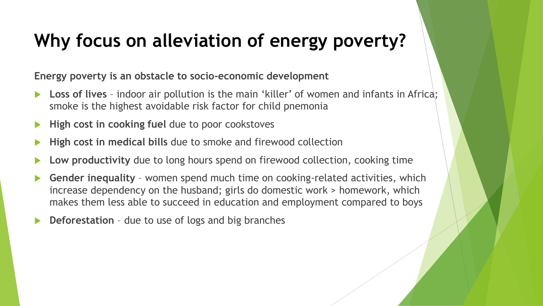## **Why focus on alleviation of energy poverty?**

**Energy poverty is an obstacle to socio-economic development**

- **Loss of lives**  indoor air pollution is the main 'killer' of women and infants in Africa; smoke is the highest avoidable risk factor for child pnemonia
- **High cost in cooking fuel** due to poor cookstoves
- **High cost in medical bills** due to smoke and firewood collection
- **Low productivity** due to long hours spend on firewood collection, cooking time
- **Gender inequality**  women spend much time on cooking-related activities, which increase dependency on the husband; girls do domestic work > homework, which makes them less able to succeed in education and employment compared to boys
- **Deforestation** due to use of logs and big branches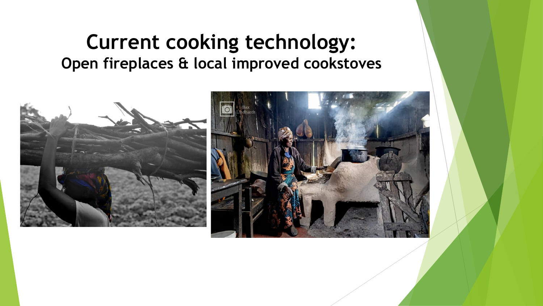## **Current cooking technology: Open fireplaces & local improved cookstoves**

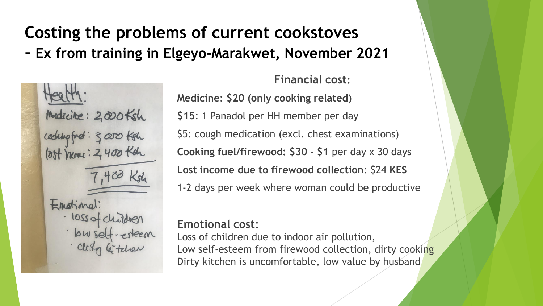# **Costing the problems of current cookstoves**

**- Ex from training in Elgeyo-Marakwet, November 2021**



#### **Financial cost:**

**Medicine: \$20 (only cooking related) \$15**: 1 Panadol per HH member per day \$5: cough medication (excl. chest examinations) **Cooking fuel/firewood: \$30 - \$1** per day x 30 days **Lost income due to firewood collection**: \$24 **KES**  1-2 days per week where woman could be productive

#### **Emotional cost**:

Loss of children due to indoor air pollution, Low self-esteem from firewood collection, dirty cooking Dirty kitchen is uncomfortable, low value by husband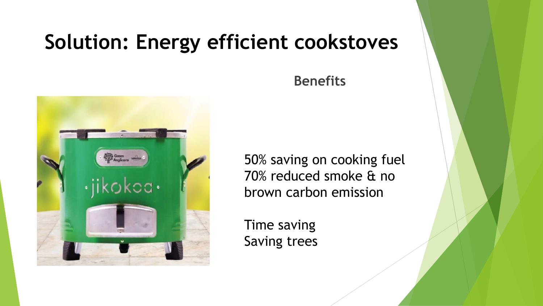# **Solution: Energy efficient cookstoves**

## **Benefits**



50% saving on cooking fuel 70% reduced smoke & no brown carbon emission

Time saving Saving trees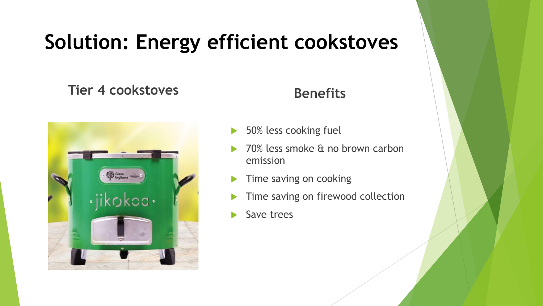# **Solution: Energy efficient cookstoves**

### Tier 4 cookstoves **Benefits**



- 50% less cooking fuel
- 70% less smoke & no brown carbon emission
- Time saving on cooking
- Time saving on firewood collection
- Save trees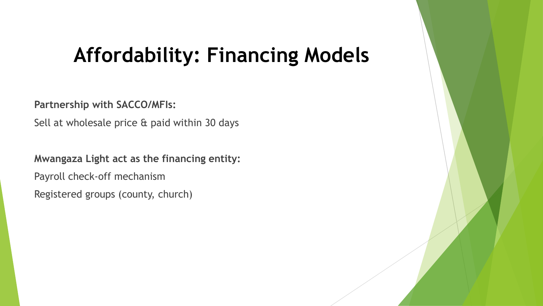# **Affordability: Financing Models**

**Partnership with SACCO/MFIs:** 

Sell at wholesale price & paid within 30 days

**Mwangaza Light act as the financing entity:** Payroll check-off mechanism Registered groups (county, church)